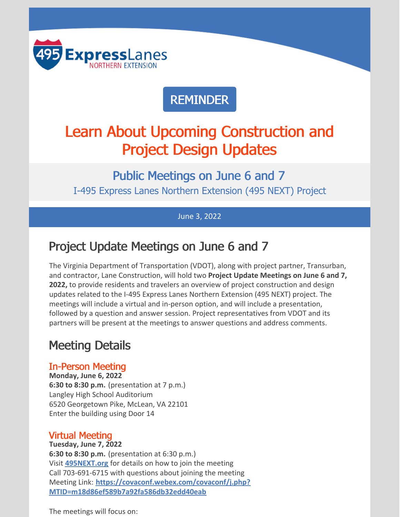

## REMINDER

## Learn About Upcoming Construction and Project Design Updates

Public Meetings on June 6 and 7 I-495 Express Lanes Northern Extension (495 NEXT) Project

#### June 3, 2022

## Project Update Meetings on June 6 and 7

The Virginia Department of Transportation (VDOT), along with project partner, Transurban, and contractor, Lane Construction, will hold two **Project Update Meetings on June 6 and 7, 2022,** to provide residents and travelers an overview of project construction and design updates related to the I-495 Express Lanes Northern Extension (495 NEXT) project. The meetings will include a virtual and in-person option, and will include a presentation, followed by a question and answer session. Project representatives from VDOT and its partners will be present at the meetings to answer questions and address comments.

## Meeting Details

#### In-Person Meeting

**Monday, June 6, 2022 6:30 to 8:30 p.m.** (presentation at 7 p.m.) Langley High School Auditorium 6520 Georgetown Pike, McLean, VA 22101 Enter the building using Door 14

#### Virtual Meeting

**Tuesday, June 7, 2022 6:30 to 8:30 p.m.** (presentation at 6:30 p.m.) Visit **[495NEXT.org](https://495next.org/public_meetings/)** for details on how to join the meeting Call 703-691-6715 with questions about joining the meeting Meeting Link: **[https://covaconf.webex.com/covaconf/j.php?](https://covaconf.webex.com/wbxmjs/joinservice/sites/covaconf/meeting/download/514e30d9ddbe45349fc170501e1059c8?siteurl=covaconf&MTID=m18d86ef589b7a92fa586db32edd40eab) MTID=m18d86ef589b7a92fa586db32edd40eab**

The meetings will focus on: